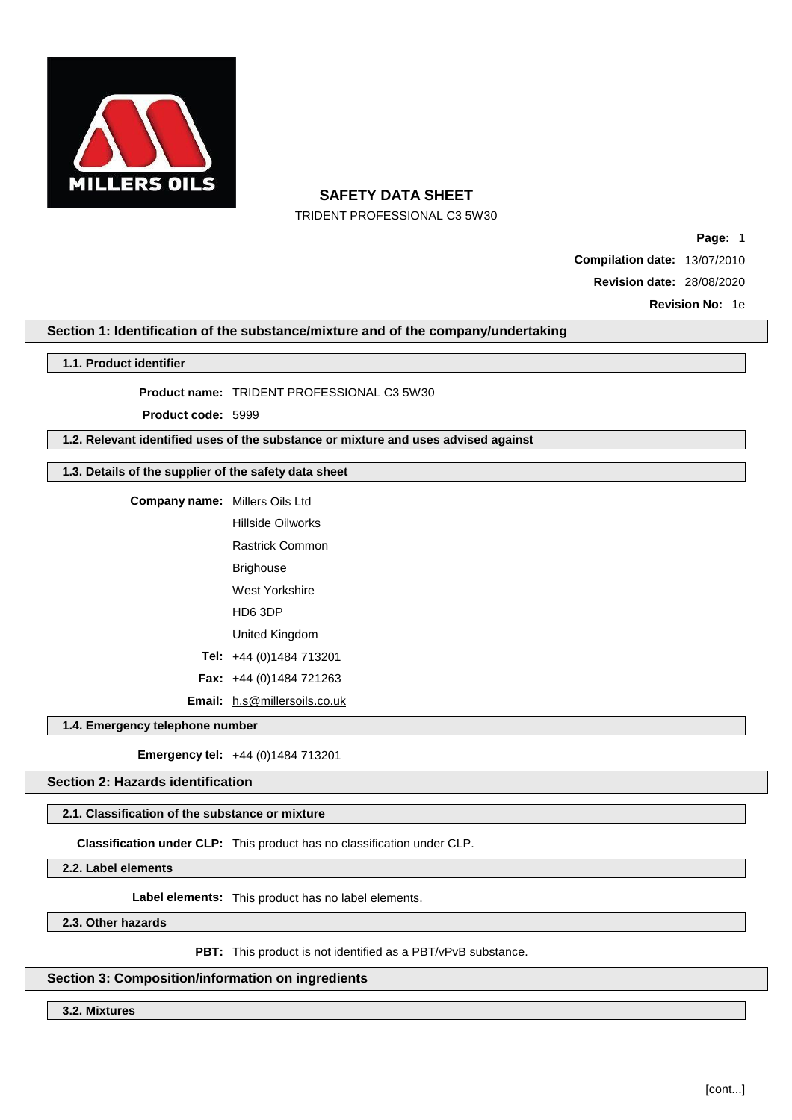

TRIDENT PROFESSIONAL C3 5W30

**Page:** 1 **Compilation date:** 13/07/2010 **Revision date:** 28/08/2020

**Revision No:** 1e

## **Section 1: Identification of the substance/mixture and of the company/undertaking**

#### **1.1. Product identifier**

**Product name:** TRIDENT PROFESSIONAL C3 5W30

**Product code:** 5999

**1.2. Relevant identified uses of the substance or mixture and uses advised against**

## **1.3. Details of the supplier of the safety data sheet**

| <b>Company name:</b> Millers Oils Ltd |                                     |  |  |
|---------------------------------------|-------------------------------------|--|--|
|                                       | Hillside Oilworks                   |  |  |
|                                       | <b>Rastrick Common</b>              |  |  |
|                                       | Brighouse                           |  |  |
|                                       | West Yorkshire                      |  |  |
|                                       | HD6 3DP                             |  |  |
|                                       | United Kingdom                      |  |  |
|                                       | Tel: $+44(0)1484713201$             |  |  |
|                                       | <b>Fax:</b> $+44$ (0)1484 721263    |  |  |
|                                       | <b>Email:</b> h.s@millersoils.co.uk |  |  |

**1.4. Emergency telephone number**

**Emergency tel:** +44 (0)1484 713201

## **Section 2: Hazards identification**

#### **2.1. Classification of the substance or mixture**

**Classification under CLP:** This product has no classification under CLP.

**2.2. Label elements**

**Label elements:** This product has no label elements.

**2.3. Other hazards**

**PBT:** This product is not identified as a PBT/vPvB substance.

#### **Section 3: Composition/information on ingredients**

**3.2. Mixtures**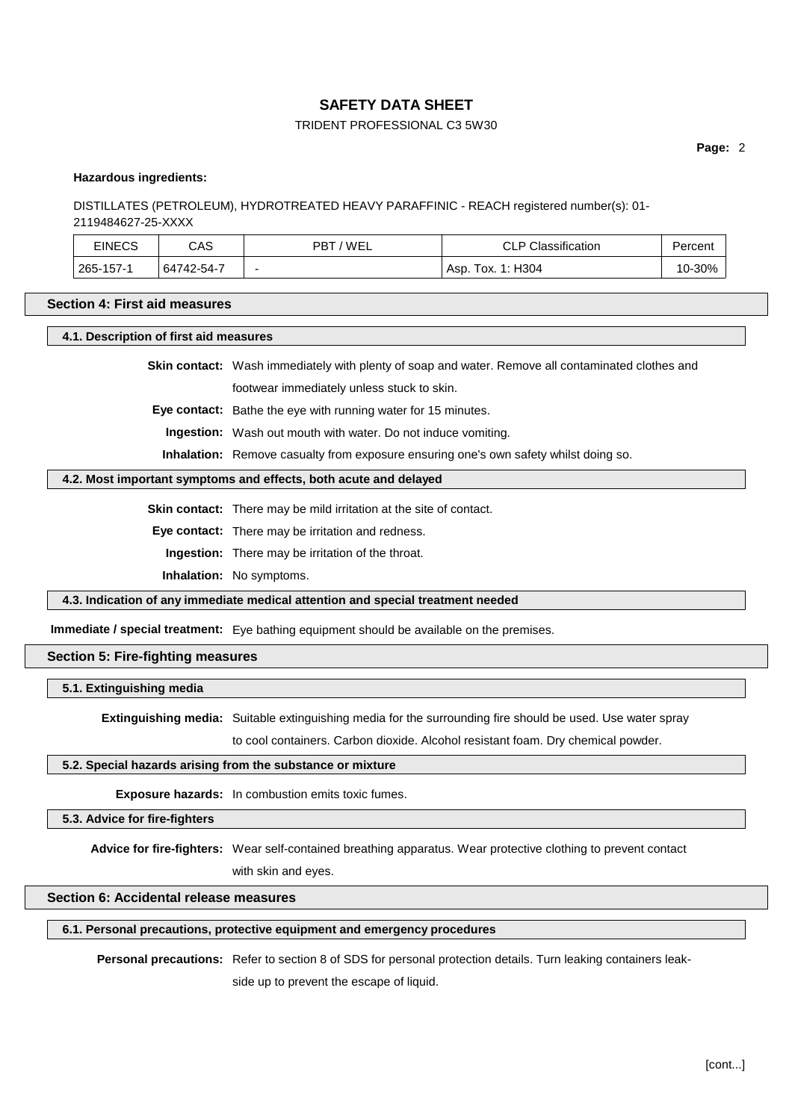### TRIDENT PROFESSIONAL C3 5W30

**Page:** 2

#### **Hazardous ingredients:**

### DISTILLATES (PETROLEUM), HYDROTREATED HEAVY PARAFFINIC - REACH registered number(s): 01- 2119484627-25-XXXX

| <b>EINECS</b> | CAS        | 'WEL<br>PBT | <b>CLP Classification</b> | Percent |
|---------------|------------|-------------|---------------------------|---------|
| 265-157-1     | 64742-54-7 | -           | Tox. 1: H304<br>ASD.      | 10-30%  |

#### **Section 4: First aid measures**

**4.1. Description of first aid measures**

**Skin contact:** Wash immediately with plenty of soap and water. Remove all contaminated clothes and

footwear immediately unless stuck to skin.

**Eye contact:** Bathe the eye with running water for 15 minutes.

**Ingestion:** Wash out mouth with water. Do not induce vomiting.

**Inhalation:** Remove casualty from exposure ensuring one's own safety whilst doing so.

#### **4.2. Most important symptoms and effects, both acute and delayed**

**Skin contact:** There may be mild irritation at the site of contact.

**Eye contact:** There may be irritation and redness.

**Ingestion:** There may be irritation of the throat.

**Inhalation:** No symptoms.

**4.3. Indication of any immediate medical attention and special treatment needed**

**Immediate / special treatment:** Eye bathing equipment should be available on the premises.

## **Section 5: Fire-fighting measures**

#### **5.1. Extinguishing media**

**Extinguishing media:** Suitable extinguishing media for the surrounding fire should be used. Use water spray

to cool containers. Carbon dioxide. Alcohol resistant foam. Dry chemical powder.

### **5.2. Special hazards arising from the substance or mixture**

**Exposure hazards:** In combustion emits toxic fumes.

#### **5.3. Advice for fire-fighters**

**Advice for fire-fighters:** Wear self-contained breathing apparatus. Wear protective clothing to prevent contact

with skin and eyes.

## **Section 6: Accidental release measures**

#### **6.1. Personal precautions, protective equipment and emergency procedures**

**Personal precautions:** Refer to section 8 of SDS for personal protection details. Turn leaking containers leakside up to prevent the escape of liquid.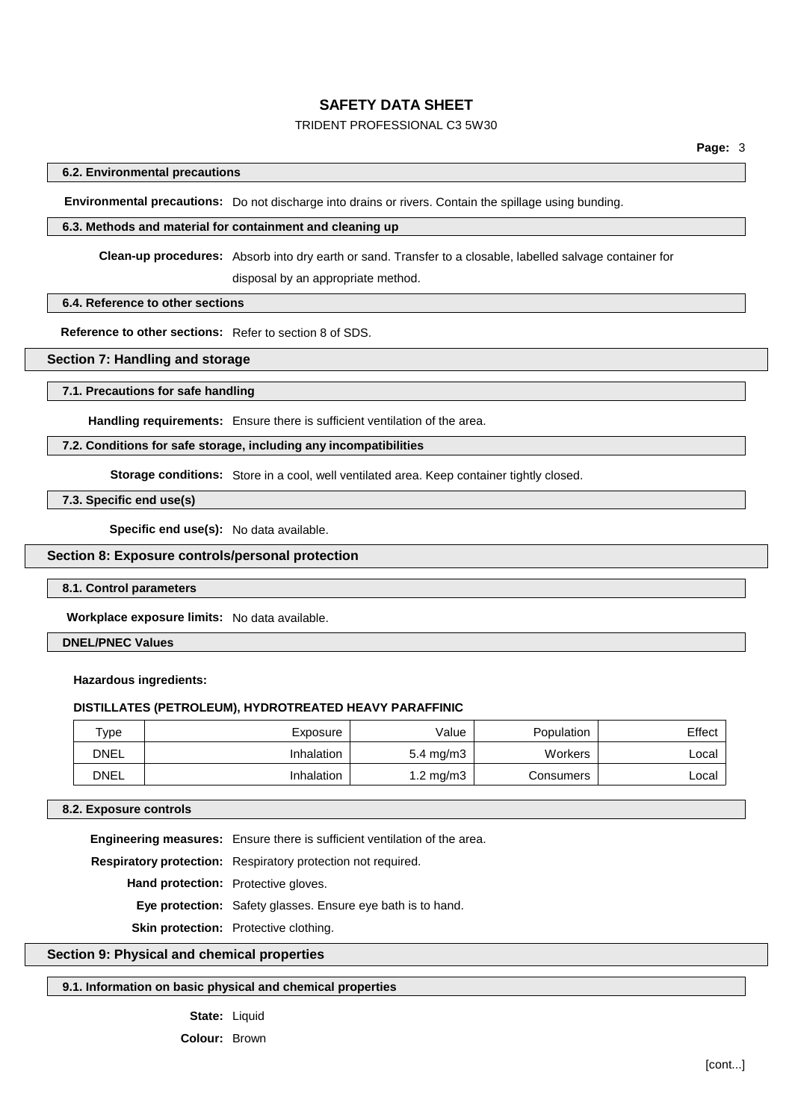## TRIDENT PROFESSIONAL C3 5W30

## **6.2. Environmental precautions**

**Environmental precautions:** Do not discharge into drains or rivers. Contain the spillage using bunding.

#### **6.3. Methods and material for containment and cleaning up**

**Clean-up procedures:** Absorb into dry earth or sand. Transfer to a closable, labelled salvage container for

disposal by an appropriate method.

## **6.4. Reference to other sections**

**Reference to other sections:** Refer to section 8 of SDS.

## **Section 7: Handling and storage**

#### **7.1. Precautions for safe handling**

**Handling requirements:** Ensure there is sufficient ventilation of the area.

## **7.2. Conditions for safe storage, including any incompatibilities**

**Storage conditions:** Store in a cool, well ventilated area. Keep container tightly closed.

**7.3. Specific end use(s)**

**Specific end use(s):** No data available.

#### **Section 8: Exposure controls/personal protection**

#### **8.1. Control parameters**

**Workplace exposure limits:** No data available.

#### **DNEL/PNEC Values**

#### **Hazardous ingredients:**

#### **DISTILLATES (PETROLEUM), HYDROTREATED HEAVY PARAFFINIC**

| $\tau_\mathsf{VDE}$ | Exposure   | Value                | Population | Effect |
|---------------------|------------|----------------------|------------|--------|
| <b>DNEL</b>         | Inhalation | $5.4 \text{ mg/m}$ 3 | Workers    | ∟ocal  |
| <b>DNEL</b>         | Inhalation | $1.2 \text{ mg/m}$ 3 | Consumers  | ∟ocal  |

#### **8.2. Exposure controls**

**Engineering measures:** Ensure there is sufficient ventilation of the area.

**Respiratory protection:** Respiratory protection not required.

**Hand protection:** Protective gloves.

**Eye protection:** Safety glasses. Ensure eye bath is to hand.

**Skin protection:** Protective clothing.

#### **Section 9: Physical and chemical properties**

## **9.1. Information on basic physical and chemical properties**

#### State: Liquid

**Colour:** Brown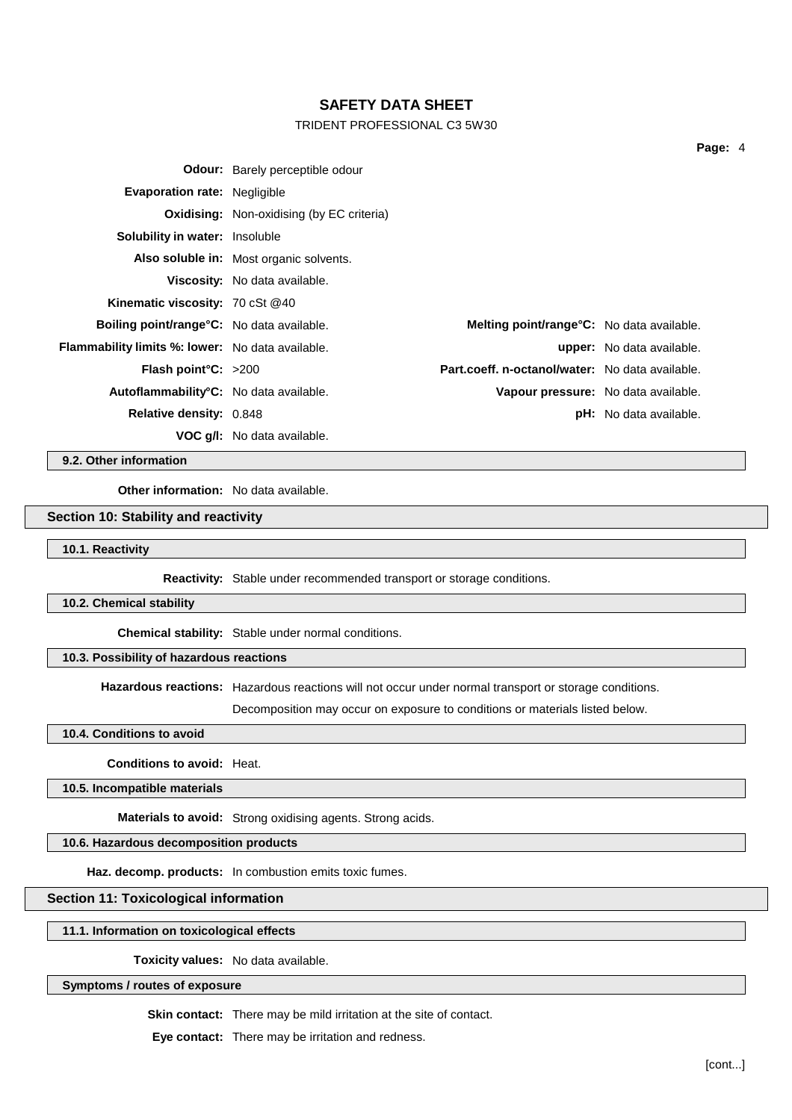## TRIDENT PROFESSIONAL C3 5W30

| <b>Odour:</b> Barely perceptible odour                  |  |                                                                                                                                                                                                                 |         |
|---------------------------------------------------------|--|-----------------------------------------------------------------------------------------------------------------------------------------------------------------------------------------------------------------|---------|
| <b>Evaporation rate: Negligible</b>                     |  |                                                                                                                                                                                                                 |         |
| <b>Oxidising:</b> Non-oxidising (by EC criteria)        |  |                                                                                                                                                                                                                 |         |
| <b>Solubility in water:</b> Insoluble                   |  |                                                                                                                                                                                                                 |         |
| Also soluble in: Most organic solvents.                 |  |                                                                                                                                                                                                                 |         |
| Viscosity: No data available.                           |  |                                                                                                                                                                                                                 |         |
| <b>Kinematic viscosity: 70 cSt @40</b>                  |  |                                                                                                                                                                                                                 |         |
| <b>Boiling point/range °C:</b> No data available.       |  |                                                                                                                                                                                                                 |         |
| <b>Flammability limits %: lower:</b> No data available. |  |                                                                                                                                                                                                                 |         |
| <b>Flash point °C:</b> $>200$                           |  |                                                                                                                                                                                                                 |         |
| Autoflammability <sup>°</sup> C: No data available.     |  |                                                                                                                                                                                                                 |         |
| <b>Relative density: 0.848</b>                          |  |                                                                                                                                                                                                                 |         |
| <b>VOC q/l:</b> No data available.                      |  |                                                                                                                                                                                                                 |         |
|                                                         |  | <b>Melting point/range°C:</b> No data available.<br><b>upper:</b> No data available.<br>Part.coeff. n-octanol/water: No data available.<br>Vapour pressure: No data available.<br><b>pH:</b> No data available. | Page: 4 |

**9.2. Other information**

**Other information:** No data available.

## **Section 10: Stability and reactivity**

**10.1. Reactivity**

**Reactivity:** Stable under recommended transport or storage conditions.

**10.2. Chemical stability**

**Chemical stability:** Stable under normal conditions.

## **10.3. Possibility of hazardous reactions**

**Hazardous reactions:** Hazardous reactions will not occur under normal transport or storage conditions.

Decomposition may occur on exposure to conditions or materials listed below.

#### **10.4. Conditions to avoid**

## **Conditions to avoid:** Heat.

**10.5. Incompatible materials**

**Materials to avoid:** Strong oxidising agents. Strong acids.

## **10.6. Hazardous decomposition products**

**Haz. decomp. products:** In combustion emits toxic fumes.

#### **Section 11: Toxicological information**

**11.1. Information on toxicological effects**

**Toxicity values:** No data available.

#### **Symptoms / routes of exposure**

**Skin contact:** There may be mild irritation at the site of contact.

**Eye contact:** There may be irritation and redness.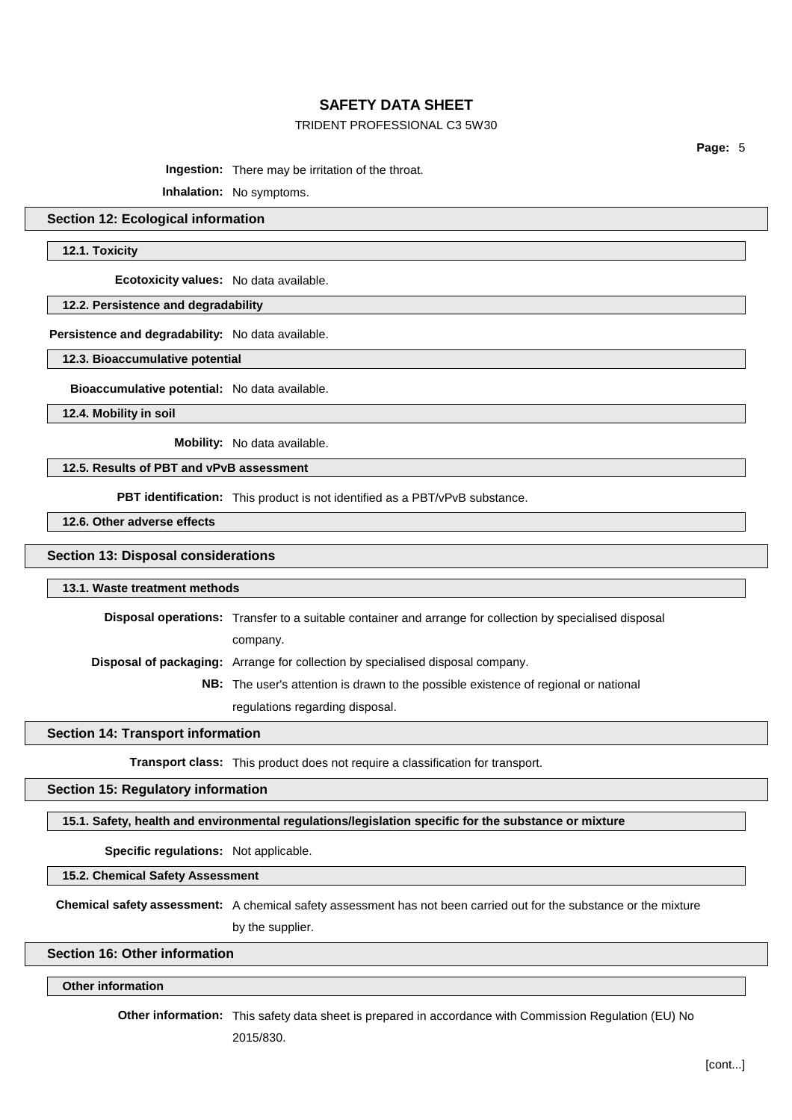#### TRIDENT PROFESSIONAL C3 5W30

**Page:** 5

**Ingestion:** There may be irritation of the throat.

**Inhalation:** No symptoms.

#### **Section 12: Ecological information**

**12.1. Toxicity**

**Ecotoxicity values:** No data available.

#### **12.2. Persistence and degradability**

**Persistence and degradability:** No data available.

**12.3. Bioaccumulative potential**

**Bioaccumulative potential:** No data available.

**12.4. Mobility in soil**

**Mobility:** No data available.

## **12.5. Results of PBT and vPvB assessment**

**PBT identification:** This product is not identified as a PBT/vPvB substance.

**12.6. Other adverse effects**

#### **Section 13: Disposal considerations**

#### **13.1. Waste treatment methods**

**Disposal operations:** Transfer to a suitable container and arrange for collection by specialised disposal company.

**Disposal of packaging:** Arrange for collection by specialised disposal company.

**NB:** The user's attention is drawn to the possible existence of regional or national

regulations regarding disposal.

### **Section 14: Transport information**

**Transport class:** This product does not require a classification for transport.

### **Section 15: Regulatory information**

**15.1. Safety, health and environmental regulations/legislation specific for the substance or mixture**

**Specific regulations:** Not applicable.

**15.2. Chemical Safety Assessment**

**Chemical safety assessment:** A chemical safety assessment has not been carried out for the substance or the mixture by the supplier.

## **Section 16: Other information**

### **Other information**

**Other information:** This safety data sheet is prepared in accordance with Commission Regulation (EU) No

2015/830.